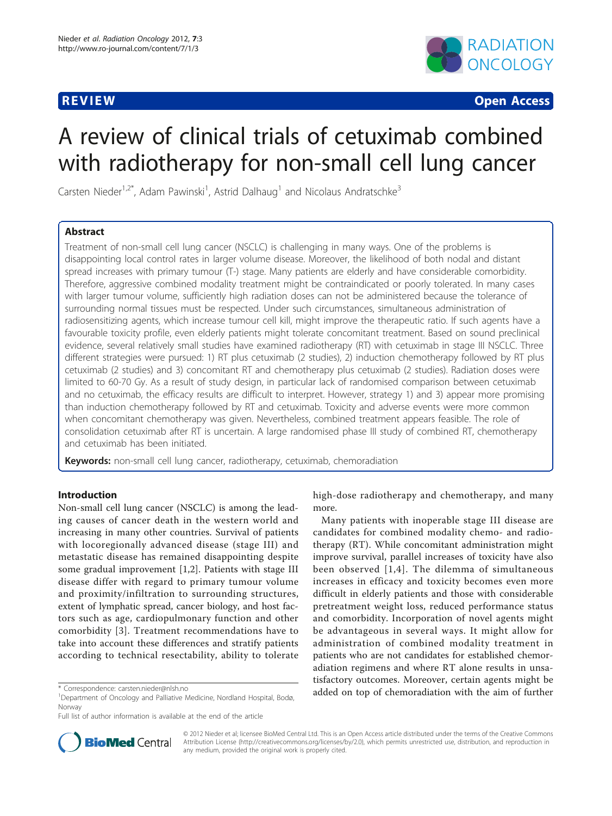

**REVIEW CONSTRUCTION CONSTRUCTION CONSTRUCTS** 

# A review of clinical trials of cetuximab combined with radiotherapy for non-small cell lung cancer

Carsten Nieder<sup>1,2\*</sup>, Adam Pawinski<sup>1</sup>, Astrid Dalhaug<sup>1</sup> and Nicolaus Andratschke<sup>3</sup>

# Abstract

Treatment of non-small cell lung cancer (NSCLC) is challenging in many ways. One of the problems is disappointing local control rates in larger volume disease. Moreover, the likelihood of both nodal and distant spread increases with primary tumour (T-) stage. Many patients are elderly and have considerable comorbidity. Therefore, aggressive combined modality treatment might be contraindicated or poorly tolerated. In many cases with larger tumour volume, sufficiently high radiation doses can not be administered because the tolerance of surrounding normal tissues must be respected. Under such circumstances, simultaneous administration of radiosensitizing agents, which increase tumour cell kill, might improve the therapeutic ratio. If such agents have a favourable toxicity profile, even elderly patients might tolerate concomitant treatment. Based on sound preclinical evidence, several relatively small studies have examined radiotherapy (RT) with cetuximab in stage III NSCLC. Three different strategies were pursued: 1) RT plus cetuximab (2 studies), 2) induction chemotherapy followed by RT plus cetuximab (2 studies) and 3) concomitant RT and chemotherapy plus cetuximab (2 studies). Radiation doses were limited to 60-70 Gy. As a result of study design, in particular lack of randomised comparison between cetuximab and no cetuximab, the efficacy results are difficult to interpret. However, strategy 1) and 3) appear more promising than induction chemotherapy followed by RT and cetuximab. Toxicity and adverse events were more common when concomitant chemotherapy was given. Nevertheless, combined treatment appears feasible. The role of consolidation cetuximab after RT is uncertain. A large randomised phase III study of combined RT, chemotherapy and cetuximab has been initiated.

Keywords: non-small cell lung cancer, radiotherapy, cetuximab, chemoradiation

## Introduction

Non-small cell lung cancer (NSCLC) is among the leading causes of cancer death in the western world and increasing in many other countries. Survival of patients with locoregionally advanced disease (stage III) and metastatic disease has remained disappointing despite some gradual improvement [[1,2\]](#page-5-0). Patients with stage III disease differ with regard to primary tumour volume and proximity/infiltration to surrounding structures, extent of lymphatic spread, cancer biology, and host factors such as age, cardiopulmonary function and other comorbidity [[3\]](#page-5-0). Treatment recommendations have to take into account these differences and stratify patients according to technical resectability, ability to tolerate

high-dose radiotherapy and chemotherapy, and many more.

Many patients with inoperable stage III disease are candidates for combined modality chemo- and radiotherapy (RT). While concomitant administration might improve survival, parallel increases of toxicity have also been observed [[1](#page-5-0),[4](#page-5-0)]. The dilemma of simultaneous increases in efficacy and toxicity becomes even more difficult in elderly patients and those with considerable pretreatment weight loss, reduced performance status and comorbidity. Incorporation of novel agents might be advantageous in several ways. It might allow for administration of combined modality treatment in patients who are not candidates for established chemoradiation regimens and where RT alone results in unsatisfactory outcomes. Moreover, certain agents might be \* Correspondence: [carsten.nieder@nlsh.no](mailto:carsten.nieder@nlsh.no)<br>added on top of chemoradiation with the aim of further



© 2012 Nieder et al; licensee BioMed Central Ltd. This is an Open Access article distributed under the terms of the Creative Commons Attribution License [\(http://creativecommons.org/licenses/by/2.0](http://creativecommons.org/licenses/by/2.0)), which permits unrestricted use, distribution, and reproduction in any medium, provided the original work is properly cited.

<sup>&</sup>lt;sup>1</sup>Department of Oncology and Palliative Medicine, Nordland Hospital, Bodø, Norway

Full list of author information is available at the end of the article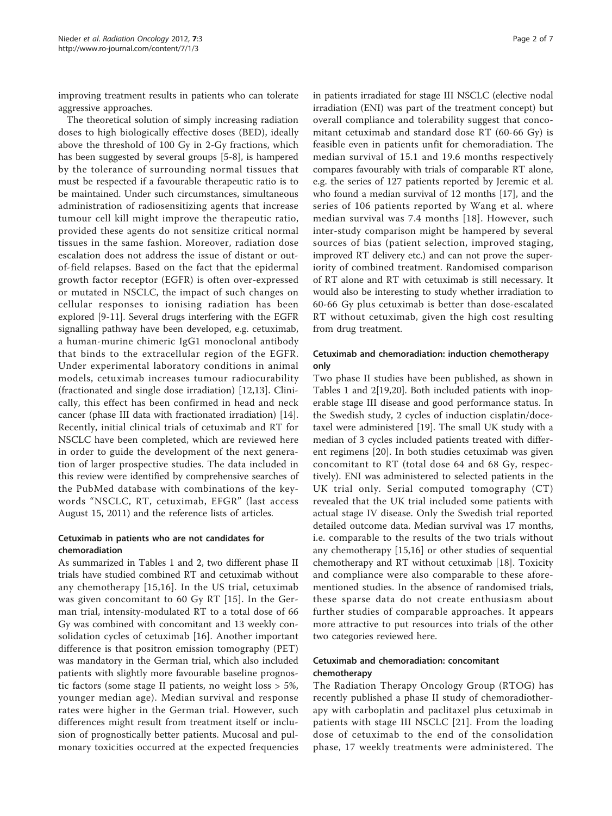improving treatment results in patients who can tolerate aggressive approaches.

The theoretical solution of simply increasing radiation doses to high biologically effective doses (BED), ideally above the threshold of 100 Gy in 2-Gy fractions, which has been suggested by several groups [[5-8](#page-5-0)], is hampered by the tolerance of surrounding normal tissues that must be respected if a favourable therapeutic ratio is to be maintained. Under such circumstances, simultaneous administration of radiosensitizing agents that increase tumour cell kill might improve the therapeutic ratio, provided these agents do not sensitize critical normal tissues in the same fashion. Moreover, radiation dose escalation does not address the issue of distant or outof-field relapses. Based on the fact that the epidermal growth factor receptor (EGFR) is often over-expressed or mutated in NSCLC, the impact of such changes on cellular responses to ionising radiation has been explored [\[9](#page-5-0)-[11\]](#page-5-0). Several drugs interfering with the EGFR signalling pathway have been developed, e.g. cetuximab, a human-murine chimeric IgG1 monoclonal antibody that binds to the extracellular region of the EGFR. Under experimental laboratory conditions in animal models, cetuximab increases tumour radiocurability (fractionated and single dose irradiation) [[12,13\]](#page-5-0). Clinically, this effect has been confirmed in head and neck cancer (phase III data with fractionated irradiation) [\[14](#page-5-0)]. Recently, initial clinical trials of cetuximab and RT for NSCLC have been completed, which are reviewed here in order to guide the development of the next generation of larger prospective studies. The data included in this review were identified by comprehensive searches of the PubMed database with combinations of the keywords "NSCLC, RT, cetuximab, EFGR" (last access August 15, 2011) and the reference lists of articles.

#### Cetuximab in patients who are not candidates for chemoradiation

As summarized in Tables [1](#page-2-0) and [2](#page-3-0), two different phase II trials have studied combined RT and cetuximab without any chemotherapy [\[15,16\]](#page-5-0). In the US trial, cetuximab was given concomitant to 60 Gy RT [\[15\]](#page-5-0). In the German trial, intensity-modulated RT to a total dose of 66 Gy was combined with concomitant and 13 weekly consolidation cycles of cetuximab [\[16](#page-5-0)]. Another important difference is that positron emission tomography (PET) was mandatory in the German trial, which also included patients with slightly more favourable baseline prognostic factors (some stage II patients, no weight loss > 5%, younger median age). Median survival and response rates were higher in the German trial. However, such differences might result from treatment itself or inclusion of prognostically better patients. Mucosal and pulmonary toxicities occurred at the expected frequencies in patients irradiated for stage III NSCLC (elective nodal irradiation (ENI) was part of the treatment concept) but overall compliance and tolerability suggest that concomitant cetuximab and standard dose RT (60-66 Gy) is feasible even in patients unfit for chemoradiation. The median survival of 15.1 and 19.6 months respectively compares favourably with trials of comparable RT alone, e.g. the series of 127 patients reported by Jeremic et al. who found a median survival of 12 months [\[17\]](#page-5-0), and the series of 106 patients reported by Wang et al. where median survival was 7.4 months [[18](#page-5-0)]. However, such inter-study comparison might be hampered by several sources of bias (patient selection, improved staging, improved RT delivery etc.) and can not prove the superiority of combined treatment. Randomised comparison of RT alone and RT with cetuximab is still necessary. It would also be interesting to study whether irradiation to 60-66 Gy plus cetuximab is better than dose-escalated RT without cetuximab, given the high cost resulting from drug treatment.

# Cetuximab and chemoradiation: induction chemotherapy only

Two phase II studies have been published, as shown in Tables [1](#page-2-0) and [2](#page-3-0)[\[19,20\]](#page-5-0). Both included patients with inoperable stage III disease and good performance status. In the Swedish study, 2 cycles of induction cisplatin/docetaxel were administered [[19\]](#page-5-0). The small UK study with a median of 3 cycles included patients treated with different regimens [[20\]](#page-5-0). In both studies cetuximab was given concomitant to RT (total dose 64 and 68 Gy, respectively). ENI was administered to selected patients in the UK trial only. Serial computed tomography (CT) revealed that the UK trial included some patients with actual stage IV disease. Only the Swedish trial reported detailed outcome data. Median survival was 17 months, i.e. comparable to the results of the two trials without any chemotherapy [\[15](#page-5-0),[16\]](#page-5-0) or other studies of sequential chemotherapy and RT without cetuximab [[18\]](#page-5-0). Toxicity and compliance were also comparable to these aforementioned studies. In the absence of randomised trials, these sparse data do not create enthusiasm about further studies of comparable approaches. It appears more attractive to put resources into trials of the other two categories reviewed here.

# Cetuximab and chemoradiation: concomitant chemotherapy

The Radiation Therapy Oncology Group (RTOG) has recently published a phase II study of chemoradiotherapy with carboplatin and paclitaxel plus cetuximab in patients with stage III NSCLC [[21\]](#page-5-0). From the loading dose of cetuximab to the end of the consolidation phase, 17 weekly treatments were administered. The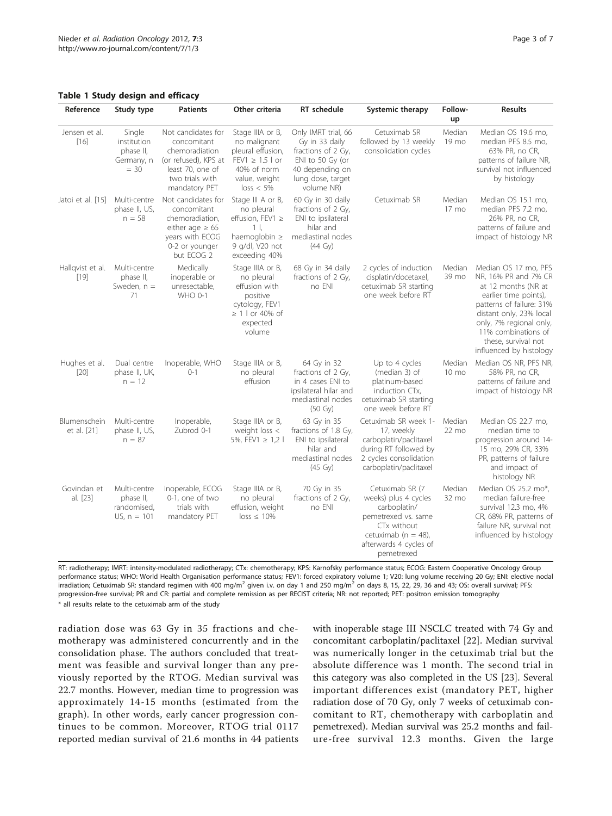Table 1 Study design and efficacy

Jensen et al. [\[16](#page-5-0)]

<span id="page-2-0"></span>

| able 1 Study design and efficacy |                                                            |                                                                                                |                                                                                                |                                                                                 |                                                               |                           |                                                                                                                                  |  |  |
|----------------------------------|------------------------------------------------------------|------------------------------------------------------------------------------------------------|------------------------------------------------------------------------------------------------|---------------------------------------------------------------------------------|---------------------------------------------------------------|---------------------------|----------------------------------------------------------------------------------------------------------------------------------|--|--|
| Reference                        | Study type                                                 | <b>Patients</b>                                                                                | Other criteria                                                                                 | <b>RT</b> schedule                                                              | Systemic therapy                                              | Follow-<br>up             | <b>Results</b>                                                                                                                   |  |  |
| ensen et al.<br>[16]             | Single<br>institution<br>phase II.<br>Germany, n<br>$\cap$ | Not candidates for<br>concomitant<br>chemoradiation<br>(or refused), KPS at<br>المصدر 70 مصدرا | Stage IIIA or B,<br>no malignant<br>pleural effusion,<br>$FEV1 \geq 1.5$ or<br>$100/10$ masses | Only IMRT trial, 66<br>Gy in 33 daily<br>fractions of 2 Gy,<br>ENI to 50 Gy (or | Cetuximab SR<br>followed by 13 weekly<br>consolidation cycles | Median<br>$19 \text{ mo}$ | Median OS 19.6 mo,<br>median PFS 8.5 mo,<br>63% PR, no CR,<br>patterns of failure NR,<br>المصمصون الكمائسة مصالحا المرائد ماردما |  |  |

|                             | phase II,<br>Germany, n<br>$= 30$                         | chemoradiation<br>(or refused), KPS at<br>least 70, one of<br>two trials with<br>mandatory PET                                                                                                                              | pleural effusion,<br>$FEV1 \geq 1.5$ or<br>40% of norm<br>value, weight<br>$loss < 5\%$                                             | fractions of 2 Gy,<br>ENI to 50 Gy (or<br>40 depending on<br>lung dose, target<br>volume NR)                              | consolidation cycles                                                                                                                                             |                           | 63% PR, no CR,<br>patterns of failure NR,<br>survival not influenced<br>by histology                                                                                                                                                                    |
|-----------------------------|-----------------------------------------------------------|-----------------------------------------------------------------------------------------------------------------------------------------------------------------------------------------------------------------------------|-------------------------------------------------------------------------------------------------------------------------------------|---------------------------------------------------------------------------------------------------------------------------|------------------------------------------------------------------------------------------------------------------------------------------------------------------|---------------------------|---------------------------------------------------------------------------------------------------------------------------------------------------------------------------------------------------------------------------------------------------------|
| Jatoi et al. [15]           | Multi-centre<br>phase II, US,<br>$n = 58$                 | Not candidates for<br>concomitant<br>chemoradiation,<br>either age $\geq 65$<br>years with ECOG<br>0-2 or younger<br>but ECOG 2                                                                                             | Stage III A or B,<br>no pleural<br>effusion, FEV1 $\ge$<br>1 <sub>1</sub><br>haemoglobin $\geq$<br>9 g/dl, V20 not<br>exceeding 40% | 60 Gy in 30 daily<br>fractions of 2 Gy,<br>ENI to ipsilateral<br>hilar and<br>mediastinal nodes<br>$(44$ Gy)              | Cetuximab SR                                                                                                                                                     | Median<br>$17 \text{ mo}$ | Median OS 15.1 mo,<br>median PFS 7.2 mo,<br>26% PR, no CR,<br>patterns of failure and<br>impact of histology NR                                                                                                                                         |
| Hallqvist et al.<br>$[19]$  | Multi-centre<br>phase II,<br>Sweden, $n =$<br>71          | Medically<br>inoperable or<br>unresectable,<br><b>WHO 0-1</b>                                                                                                                                                               | Stage IIIA or B,<br>no pleural<br>effusion with<br>positive<br>cytology, FEV1<br>$\geq 1$ I or 40% of<br>expected<br>volume         | 68 Gy in 34 daily<br>fractions of 2 Gy,<br>no ENI                                                                         | 2 cycles of induction<br>cisplatin/docetaxel,<br>cetuximab SR starting<br>one week before RT                                                                     | Median<br>39 mo           | Median OS 17 mo, PFS<br>NR, 16% PR and 7% CR<br>at 12 months (NR at<br>earlier time points),<br>patterns of failure: 31%<br>distant only, 23% local<br>only, 7% regional only,<br>11% combinations of<br>these, survival not<br>influenced by histology |
| Hughes et al.<br>[20]       | Dual centre<br>phase II, UK,<br>$n = 12$                  | Inoperable, WHO<br>$0 - 1$                                                                                                                                                                                                  | Stage IIIA or B,<br>no pleural<br>effusion                                                                                          | 64 Gy in 32<br>fractions of 2 Gy,<br>in 4 cases ENI to<br>ipsilateral hilar and<br>mediastinal nodes<br>$(50 \text{ Gy})$ | Up to 4 cycles<br>(median 3) of<br>platinum-based<br>induction CT <sub>x</sub> ,<br>cetuximab SR starting<br>one week before RT                                  | Median<br>10 mo           | Median OS NR, PFS NR,<br>58% PR, no CR,<br>patterns of failure and<br>impact of histology NR                                                                                                                                                            |
| Blumenschein<br>et al. [21] | Multi-centre<br>phase II, US,<br>$n = 87$                 | Inoperable,<br>Zubrod 0-1                                                                                                                                                                                                   | Stage IIIA or B,<br>weight $loss <$<br>5%, FEV1 $\geq$ 1,2 l                                                                        | 63 Gy in 35<br>fractions of 1.8 Gy,<br>ENI to ipsilateral<br>hilar and<br>mediastinal nodes<br>(45 Gy)                    | Cetuximab SR week 1-<br>17, weekly<br>carboplatin/paclitaxel<br>during RT followed by<br>2 cycles consolidation<br>carboplatin/paclitaxel                        | Median<br>22 mo           | Median OS 22.7 mo,<br>median time to<br>progression around 14-<br>15 mo, 29% CR, 33%<br>PR, patterns of failure<br>and impact of<br>histology NR                                                                                                        |
| Govindan et<br>al. [23]     | Multi-centre<br>phase II,<br>randomised,<br>US, $n = 101$ | Inoperable, ECOG<br>0-1, one of two<br>trials with<br>mandatory PET<br>pty radiatherany IMPT: intensity modulated radiatherany CTy chamatherany KBS: Karnofsky performance status: ECOG: Eastern Cooperative Onselecy Group | Stage IIIA or B,<br>no pleural<br>effusion, weight<br>$loss \leq 10\%$                                                              | 70 Gy in 35<br>fractions of 2 Gy,<br>no ENI                                                                               | Cetuximab SR (7<br>weeks) plus 4 cycles<br>carboplatin/<br>pemetrexed vs. same<br>CTx without<br>cetuximab ( $n = 48$ ),<br>afterwards 4 cycles of<br>pemetrexed | Median<br>32 mo           | Median OS 25.2 mo*,<br>median failure-free<br>survival 12.3 mo, 4%<br>CR, 68% PR, patterns of<br>failure NR, survival not<br>influenced by histology                                                                                                    |

RT: radiotherapy; IMRT: intensity-modulated radiotherapy; CTx: chemotherapy; KPS: Karnofsky performance status; ECOG: Eastern Cooperative Oncology Group performance status; WHO: World Health Organisation performance status; FEV1: forced expiratory volume 1; V20: lung volume receiving 20 Gy; ENI: elective nodal irradiation; Cetuximab SR: standard regimen with 400 mg/m<sup>2</sup> given i.v. on day 1 and 250 mg/m<sup>2</sup> on days 8, 15, 22, 29, 36 and 43; OS: overall survival; PFS: progression-free survival; PR and CR: partial and complete remission as per RECIST criteria; NR: not reported; PET: positron emission tomography \* all results relate to the cetuximab arm of the study

radiation dose was 63 Gy in 35 fractions and chemotherapy was administered concurrently and in the consolidation phase. The authors concluded that treatment was feasible and survival longer than any previously reported by the RTOG. Median survival was 22.7 months. However, median time to progression was approximately 14-15 months (estimated from the graph). In other words, early cancer progression continues to be common. Moreover, RTOG trial 0117 reported median survival of 21.6 months in 44 patients with inoperable stage III NSCLC treated with 74 Gy and concomitant carboplatin/paclitaxel [\[22](#page-5-0)]. Median survival was numerically longer in the cetuximab trial but the absolute difference was 1 month. The second trial in this category was also completed in the US [[23\]](#page-5-0). Several important differences exist (mandatory PET, higher radiation dose of 70 Gy, only 7 weeks of cetuximab concomitant to RT, chemotherapy with carboplatin and pemetrexed). Median survival was 25.2 months and failure-free survival 12.3 months. Given the large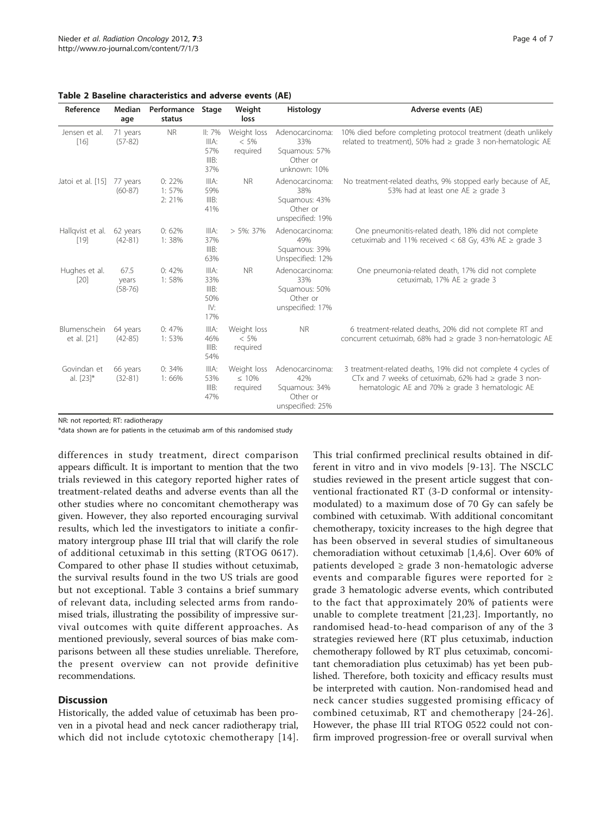| Reference                   | Median<br>age              | Performance Stage<br>status |                                            | Weight<br>loss                     | Histology                                                               | Adverse events (AE)                                                                                                                                                               |
|-----------------------------|----------------------------|-----------------------------|--------------------------------------------|------------------------------------|-------------------------------------------------------------------------|-----------------------------------------------------------------------------------------------------------------------------------------------------------------------------------|
| Jensen et al.<br>$[16]$     | 71 years<br>$(57-82)$      | <b>NR</b>                   | $II: 7\%$<br>IIIA:<br>57%<br>IIIB:<br>37%  | Weight loss<br>$< 5\%$<br>required | Adenocarcinoma:<br>33%<br>Squamous: 57%<br>Other or<br>unknown: 10%     | 10% died before completing protocol treatment (death unlikely<br>related to treatment), 50% had $\geq$ grade 3 non-hematologic AE                                                 |
| Jatoi et al. [15]           | 77 years<br>$(60-87)$      | 0:22%<br>$1:57\%$<br>2:21%  | IIIA:<br>59%<br>IIIB:<br>41%               | <b>NR</b>                          | Adenocarcinoma:<br>38%<br>Squamous: 43%<br>Other or<br>unspecified: 19% | No treatment-related deaths, 9% stopped early because of AE,<br>53% had at least one AE $\geq$ grade 3                                                                            |
| Hallqvist et al.<br>[19]    | 62 years<br>$(42 - 81)$    | 0:62%<br>1:38%              | IIIA:<br>37%<br>IIIB:<br>63%               | $> 5\%$ : 37%                      | Adenocarcinoma:<br>49%<br>Squamous: 39%<br>Unspecified: 12%             | One pneumonitis-related death, 18% did not complete<br>cetuximab and 11% received < 68 Gy, 43% AE $\geq$ grade 3                                                                  |
| Hughes et al.<br>$[20]$     | 67.5<br>years<br>$(58-76)$ | 0:42%<br>1:58%              | IIIA:<br>33%<br>IIIB:<br>50%<br>IV:<br>17% | <b>NR</b>                          | Adenocarcinoma:<br>33%<br>Squamous: 50%<br>Other or<br>unspecified: 17% | One pneumonia-related death, 17% did not complete<br>cetuximab, 17% AE $\geq$ grade 3                                                                                             |
| Blumenschein<br>et al. [21] | 64 years<br>$(42 - 85)$    | 0:47%<br>1:53%              | IIIA:<br>46%<br>IIIB:<br>54%               | Weight loss<br>$< 5\%$<br>required | <b>NR</b>                                                               | 6 treatment-related deaths, 20% did not complete RT and<br>concurrent cetuximab, 68% had ≥ grade 3 non-hematologic AE                                                             |
| Govindan et<br>al. [23]*    | 66 years<br>$(32-81)$      | 0:34%<br>1:66%              | IIIA:<br>53%<br>IIIB:<br>47%               | Weight loss<br>< 10%<br>required   | Adenocarcinoma:<br>42%<br>Squamous: 34%<br>Other or<br>unspecified: 25% | 3 treatment-related deaths, 19% did not complete 4 cycles of<br>CTx and 7 weeks of cetuximab, 62% had $\geq$ grade 3 non-<br>hematologic AE and 70% $\geq$ grade 3 hematologic AE |

#### <span id="page-3-0"></span>Table 2 Baseline characteristics and adverse events (AE)

NR: not reported; RT: radiotherapy

\*data shown are for patients in the cetuximab arm of this randomised study

differences in study treatment, direct comparison appears difficult. It is important to mention that the two trials reviewed in this category reported higher rates of treatment-related deaths and adverse events than all the other studies where no concomitant chemotherapy was given. However, they also reported encouraging survival results, which led the investigators to initiate a confirmatory intergroup phase III trial that will clarify the role of additional cetuximab in this setting (RTOG 0617). Compared to other phase II studies without cetuximab, the survival results found in the two US trials are good but not exceptional. Table [3](#page-4-0) contains a brief summary of relevant data, including selected arms from randomised trials, illustrating the possibility of impressive survival outcomes with quite different approaches. As mentioned previously, several sources of bias make comparisons between all these studies unreliable. Therefore, the present overview can not provide definitive recommendations.

# Discussion

Historically, the added value of cetuximab has been proven in a pivotal head and neck cancer radiotherapy trial, which did not include cytotoxic chemotherapy [[14\]](#page-5-0). This trial confirmed preclinical results obtained in different in vitro and in vivo models [[9](#page-5-0)-[13](#page-5-0)]. The NSCLC studies reviewed in the present article suggest that conventional fractionated RT (3-D conformal or intensitymodulated) to a maximum dose of 70 Gy can safely be combined with cetuximab. With additional concomitant chemotherapy, toxicity increases to the high degree that has been observed in several studies of simultaneous chemoradiation without cetuximab [[1,4](#page-5-0),[6\]](#page-5-0). Over 60% of patients developed ≥ grade 3 non-hematologic adverse events and comparable figures were reported for ≥ grade 3 hematologic adverse events, which contributed to the fact that approximately 20% of patients were unable to complete treatment [[21,23](#page-5-0)]. Importantly, no randomised head-to-head comparison of any of the 3 strategies reviewed here (RT plus cetuximab, induction chemotherapy followed by RT plus cetuximab, concomitant chemoradiation plus cetuximab) has yet been published. Therefore, both toxicity and efficacy results must be interpreted with caution. Non-randomised head and neck cancer studies suggested promising efficacy of combined cetuximab, RT and chemotherapy [[24-26\]](#page-5-0). However, the phase III trial RTOG 0522 could not confirm improved progression-free or overall survival when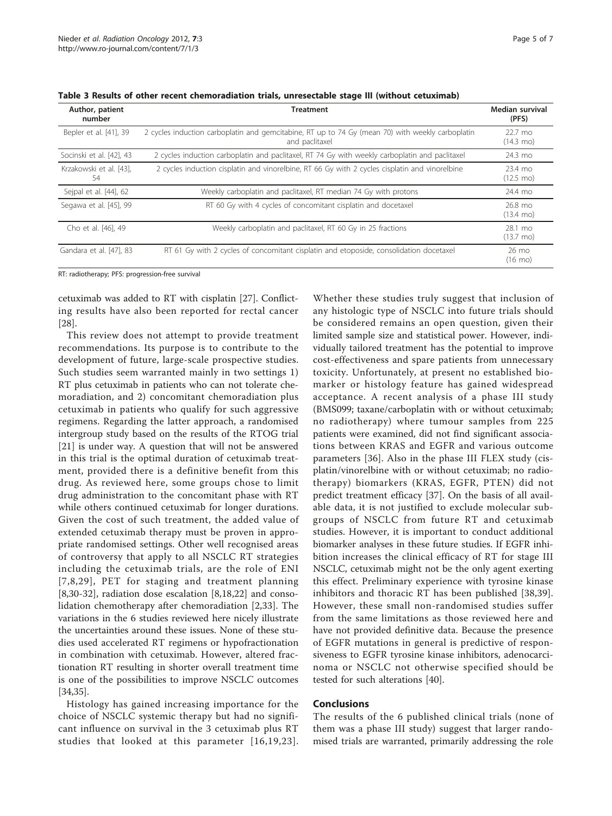| Author, patient<br>number     | <b>Treatment</b>                                                                                                   | <b>Median survival</b><br>(PFS)      |
|-------------------------------|--------------------------------------------------------------------------------------------------------------------|--------------------------------------|
| Bepler et al. [41], 39        | 2 cycles induction carboplatin and gemcitabine, RT up to 74 Gy (mean 70) with weekly carboplatin<br>and paclitaxel | 22.7 mo<br>$(14.3 \text{ mo})$       |
| Socinski et al. [42], 43      | 2 cycles induction carboplatin and paclitaxel, RT 74 Gy with weekly carboplatin and paclitaxel                     | 24.3 mo                              |
| Krzakowski et al. [43].<br>54 | 2 cycles induction cisplatin and vinorelbine, RT 66 Gy with 2 cycles cisplatin and vinorelbine                     | 23.4 mo<br>$(12.5 \text{ mo})$       |
| Seipal et al. [44], 62        | Weekly carboplatin and paclitaxel, RT median 74 Gy with protons                                                    | 24.4 mo                              |
| Segawa et al. [45], 99        | RT 60 Gy with 4 cycles of concomitant cisplatin and docetaxel                                                      | 26.8 mo<br>$(13.4 \text{ mo})$       |
| Cho et al. [46], 49           | Weekly carboplatin and paclitaxel, RT 60 Gy in 25 fractions                                                        | 28.1 mo<br>$(13.7 \text{ mo})$       |
| Gandara et al. [47], 83       | RT 61 Gy with 2 cycles of concomitant cisplatin and etoposide, consolidation docetaxel                             | $26 \text{ mo}$<br>$(16 \text{ mo})$ |

<span id="page-4-0"></span>Table 3 Results of other recent chemoradiation trials, unresectable stage III (without cetuximab)

RT: radiotherapy; PFS: progression-free survival

cetuximab was added to RT with cisplatin [\[27\]](#page-6-0). Conflicting results have also been reported for rectal cancer [[28\]](#page-6-0).

This review does not attempt to provide treatment recommendations. Its purpose is to contribute to the development of future, large-scale prospective studies. Such studies seem warranted mainly in two settings 1) RT plus cetuximab in patients who can not tolerate chemoradiation, and 2) concomitant chemoradiation plus cetuximab in patients who qualify for such aggressive regimens. Regarding the latter approach, a randomised intergroup study based on the results of the RTOG trial [[21\]](#page-5-0) is under way. A question that will not be answered in this trial is the optimal duration of cetuximab treatment, provided there is a definitive benefit from this drug. As reviewed here, some groups chose to limit drug administration to the concomitant phase with RT while others continued cetuximab for longer durations. Given the cost of such treatment, the added value of extended cetuximab therapy must be proven in appropriate randomised settings. Other well recognised areas of controversy that apply to all NSCLC RT strategies including the cetuximab trials, are the role of ENI [[7,8,](#page-5-0)[29](#page-6-0)], PET for staging and treatment planning [[8,](#page-5-0)[30-32](#page-6-0)], radiation dose escalation [[8,18,22\]](#page-5-0) and consolidation chemotherapy after chemoradiation [[2](#page-5-0)[,33](#page-6-0)]. The variations in the 6 studies reviewed here nicely illustrate the uncertainties around these issues. None of these studies used accelerated RT regimens or hypofractionation in combination with cetuximab. However, altered fractionation RT resulting in shorter overall treatment time is one of the possibilities to improve NSCLC outcomes [[34,35\]](#page-6-0).

Histology has gained increasing importance for the choice of NSCLC systemic therapy but had no significant influence on survival in the 3 cetuximab plus RT studies that looked at this parameter [[16](#page-5-0),[19](#page-5-0),[23\]](#page-5-0).

Whether these studies truly suggest that inclusion of any histologic type of NSCLC into future trials should be considered remains an open question, given their limited sample size and statistical power. However, individually tailored treatment has the potential to improve cost-effectiveness and spare patients from unnecessary toxicity. Unfortunately, at present no established biomarker or histology feature has gained widespread acceptance. A recent analysis of a phase III study (BMS099; taxane/carboplatin with or without cetuximab; no radiotherapy) where tumour samples from 225 patients were examined, did not find significant associations between KRAS and EGFR and various outcome parameters [[36\]](#page-6-0). Also in the phase III FLEX study (cisplatin/vinorelbine with or without cetuximab; no radiotherapy) biomarkers (KRAS, EGFR, PTEN) did not predict treatment efficacy [[37](#page-6-0)]. On the basis of all available data, it is not justified to exclude molecular subgroups of NSCLC from future RT and cetuximab studies. However, it is important to conduct additional biomarker analyses in these future studies. If EGFR inhibition increases the clinical efficacy of RT for stage III NSCLC, cetuximab might not be the only agent exerting this effect. Preliminary experience with tyrosine kinase inhibitors and thoracic RT has been published [[38,39](#page-6-0)]. However, these small non-randomised studies suffer from the same limitations as those reviewed here and have not provided definitive data. Because the presence of EGFR mutations in general is predictive of responsiveness to EGFR tyrosine kinase inhibitors, adenocarcinoma or NSCLC not otherwise specified should be tested for such alterations [[40](#page-6-0)].

## **Conclusions**

The results of the 6 published clinical trials (none of them was a phase III study) suggest that larger randomised trials are warranted, primarily addressing the role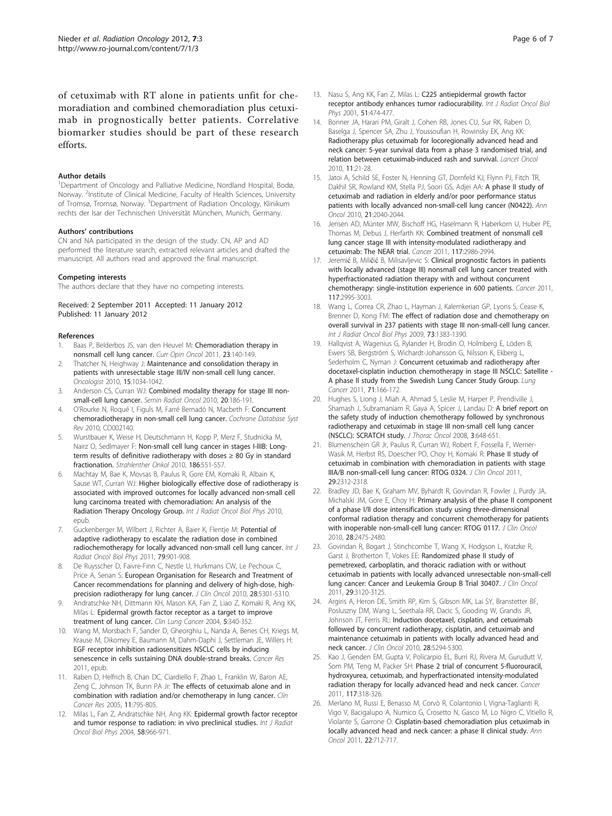<span id="page-5-0"></span>of cetuximab with RT alone in patients unfit for chemoradiation and combined chemoradiation plus cetuximab in prognostically better patients. Correlative biomarker studies should be part of these research efforts.

#### Author details

<sup>1</sup>Department of Oncology and Palliative Medicine, Nordland Hospital, Bodø, Norway. <sup>2</sup>Institute of Clinical Medicine, Faculty of Health Sciences, University of Tromsø, Tromsø, Norway. <sup>3</sup>Department of Radiation Oncology, Klinikum rechts der Isar der Technischen Universität München, Munich, Germany.

#### Authors' contributions

CN and NA participated in the design of the study. CN, AP and AD performed the literature search, extracted relevant articles and drafted the manuscript. All authors read and approved the final manuscript.

#### Competing interests

The authors declare that they have no competing interests.

Received: 2 September 2011 Accepted: 11 January 2012 Published: 11 January 2012

#### References

- Baas P, Belderbos JS, van den Heuvel M: [Chemoradiation therapy in](http://www.ncbi.nlm.nih.gov/pubmed/21178617?dopt=Abstract) [nonsmall cell lung cancer.](http://www.ncbi.nlm.nih.gov/pubmed/21178617?dopt=Abstract) Curr Opin Oncol 2011, 23:140-149.
- Thatcher N, Heighway J: [Maintenance and consolidation therapy in](http://www.ncbi.nlm.nih.gov/pubmed/20930098?dopt=Abstract) [patients with unresectable stage III/IV non-small cell lung cancer.](http://www.ncbi.nlm.nih.gov/pubmed/20930098?dopt=Abstract) Oncologist 2010, 15:1034-1042.
- 3. Anderson CS, Curran WJ: [Combined modality therapy for stage III non](http://www.ncbi.nlm.nih.gov/pubmed/20685581?dopt=Abstract)[small-cell lung cancer.](http://www.ncbi.nlm.nih.gov/pubmed/20685581?dopt=Abstract) Semin Radiat Oncol 2010, 20:186-191.
- 4. O'Rourke N, Roqué I, Figuls M, Farré Bernadó N, Macbeth F: Concurrent chemoradiotherapy in non-small cell lung cancer. Cochrane Database Syst Rev 2010, CD002140.
- 5. Wurstbauer K, Weise H, Deutschmann H, Kopp P, Merz F, Studnicka M, Nairz O, Sedlmayer F: [Non-small cell lung cancer in stages I-IIIB: Long](http://www.ncbi.nlm.nih.gov/pubmed/20936459?dopt=Abstract)[term results of definitive radiotherapy with doses](http://www.ncbi.nlm.nih.gov/pubmed/20936459?dopt=Abstract) ≥ 80 Gy in standard [fractionation.](http://www.ncbi.nlm.nih.gov/pubmed/20936459?dopt=Abstract) Strahlenther Onkol 2010, 186:551-557.
- 6. Machtay M, Bae K, Movsas B, Paulus R, Gore EM, Komaki R, Albain K, Sause WT, Curran WJ: Higher biologically effective dose of radiotherapy is associated with improved outcomes for locally advanced non-small cell lung carcinoma treated with chemoradiation: An analysis of the Radiation Therapy Oncology Group. Int J Radiat Oncol Biol Phys 2010, epub.
- Guckenberger M, Wilbert J, Richter A, Baier K, Flentje M: [Potential of](http://www.ncbi.nlm.nih.gov/pubmed/20708850?dopt=Abstract) [adaptive radiotherapy to escalate the radiation dose in combined](http://www.ncbi.nlm.nih.gov/pubmed/20708850?dopt=Abstract) [radiochemotherapy for locally advanced non-small cell lung cancer.](http://www.ncbi.nlm.nih.gov/pubmed/20708850?dopt=Abstract) Int J Radiat Oncol Biol Phys 2011, 79:901-908.
- 8. De Ruysscher D, Faivre-Finn C, Nestle U, Hurkmans CW, Le Pechoux C, Price A, Senan S: [European Organisation for Research and Treatment of](http://www.ncbi.nlm.nih.gov/pubmed/21079134?dopt=Abstract) [Cancer recommendations for planning and delivery of high-dose, high](http://www.ncbi.nlm.nih.gov/pubmed/21079134?dopt=Abstract)[precision radiotherapy for lung cancer.](http://www.ncbi.nlm.nih.gov/pubmed/21079134?dopt=Abstract) J Clin Oncol 2010, 28:5301-5310.
- 9. Andratschke NH, Dittmann KH, Mason KA, Fan Z, Liao Z, Komaki R, Ang KK, Milas L: [Epidermal growth factor receptor as a target to improve](http://www.ncbi.nlm.nih.gov/pubmed/15217533?dopt=Abstract) [treatment of lung cancer.](http://www.ncbi.nlm.nih.gov/pubmed/15217533?dopt=Abstract) Clin Lung Cancer 2004, 5:340-352.
- 10. Wang M, Morsbach F, Sander D, Gheorghiu L, Nanda A, Benes CH, Kriegs M, Krause M, Dikomey E, Baumann M, Dahm-Daphi J, Settleman JE, Willers H: EGF receptor inhibition radiosensitizes NSCLC cells by inducing senescence in cells sustaining DNA double-strand breaks. Cancer Res 2011, epub.
- 11. Raben D, Helfrich B, Chan DC, Ciardiello F, Zhao L, Franklin W, Baron AE, Zeng C, Johnson TK, Bunn PA Jr: [The effects of cetuximab alone and in](http://www.ncbi.nlm.nih.gov/pubmed/15701870?dopt=Abstract) [combination with radiation and/or chemotherapy in lung cancer.](http://www.ncbi.nlm.nih.gov/pubmed/15701870?dopt=Abstract) Clin Cancer Res 2005, 11:795-805.
- 12. Milas L, Fan Z, Andratschke NH, Ang KK: [Epidermal growth factor receptor](http://www.ncbi.nlm.nih.gov/pubmed/14967457?dopt=Abstract) [and tumor response to radiation: in vivo preclinical studies.](http://www.ncbi.nlm.nih.gov/pubmed/14967457?dopt=Abstract) Int J Radiat Oncol Biol Phys 2004, 58:966-971.
- 13. Nasu S, Ang KK, Fan Z, Milas L: [C225 antiepidermal growth factor](http://www.ncbi.nlm.nih.gov/pubmed/11567823?dopt=Abstract) [receptor antibody enhances tumor radiocurability.](http://www.ncbi.nlm.nih.gov/pubmed/11567823?dopt=Abstract) Int J Radiat Oncol Biol Phys 2001, 51:474-477.
- 14. Bonner JA, Harari PM, Giralt J, Cohen RB, Jones CU, Sur RK, Raben D, Baselga J, Spencer SA, Zhu J, Youssoufian H, Rowinsky EK, Ang KK: [Radiotherapy plus cetuximab for locoregionally advanced head and](http://www.ncbi.nlm.nih.gov/pubmed/19897418?dopt=Abstract) [neck cancer: 5-year survival data from a phase 3 randomised trial, and](http://www.ncbi.nlm.nih.gov/pubmed/19897418?dopt=Abstract) [relation between cetuximab-induced rash and survival.](http://www.ncbi.nlm.nih.gov/pubmed/19897418?dopt=Abstract) Lancet Oncol 2010, 11:21-28.
- 15. Jatoi A, Schild SE, Foster N, Henning GT, Dornfeld KJ, Flynn PJ, Fitch TR, Dakhil SR, Rowland KM, Stella PJ, Soori GS, Adjei AA: [A phase II study of](http://www.ncbi.nlm.nih.gov/pubmed/20570832?dopt=Abstract) [cetuximab and radiation in elderly and/or poor performance status](http://www.ncbi.nlm.nih.gov/pubmed/20570832?dopt=Abstract) [patients with locally advanced non-small-cell lung cancer \(N0422\).](http://www.ncbi.nlm.nih.gov/pubmed/20570832?dopt=Abstract) Ann Oncol 2010, 21:2040-2044.
- 16. Jensen AD, Münter MW, Bischoff HG, Haselmann R, Haberkorn U, Huber PE, Thomas M, Debus J, Herfarth KK: [Combined treatment of nonsmall cell](http://www.ncbi.nlm.nih.gov/pubmed/21264838?dopt=Abstract) [lung cancer stage III with intensity-modulated radiotherapy and](http://www.ncbi.nlm.nih.gov/pubmed/21264838?dopt=Abstract) [cetuximab: The NEAR trial.](http://www.ncbi.nlm.nih.gov/pubmed/21264838?dopt=Abstract) Cancer 2011, 117:2986-2994.
- 17. Jeremić B, Miličić B, Milisavljevic S: [Clinical prognostic factors in patients](http://www.ncbi.nlm.nih.gov/pubmed/21692056?dopt=Abstract) [with locally advanced \(stage III\) nonsmall cell lung cancer treated with](http://www.ncbi.nlm.nih.gov/pubmed/21692056?dopt=Abstract) [hyperfractionated radiation therapy with and without concurrent](http://www.ncbi.nlm.nih.gov/pubmed/21692056?dopt=Abstract) [chemotherapy: single-institution experience in 600 patients.](http://www.ncbi.nlm.nih.gov/pubmed/21692056?dopt=Abstract) Cancer 2011, 117:2995-3003.
- 18. Wang L, Correa CR, Zhao L, Hayman J, Kalemkerian GP, Lyons S, Cease K, Brenner D, Kong FM: [The effect of radiation dose and chemotherapy on](http://www.ncbi.nlm.nih.gov/pubmed/18929449?dopt=Abstract) [overall survival in 237 patients with stage III non-small-cell lung cancer.](http://www.ncbi.nlm.nih.gov/pubmed/18929449?dopt=Abstract) Int J Radiat Oncol Biol Phys 2009, 73:1383-1390.
- 19. Hallqvist A, Wagenius G, Rylander H, Brodin O, Holmberg E, Löden B, Ewers SB, Bergström S, Wichardt-Johansson G, Nilsson K, Ekberg L, Sederholm C, Nyman J: [Concurrent cetuximab and radiotherapy after](http://www.ncbi.nlm.nih.gov/pubmed/20541833?dopt=Abstract) [docetaxel-cisplatin induction chemotherapy in stage III NSCLC: Satellite -](http://www.ncbi.nlm.nih.gov/pubmed/20541833?dopt=Abstract) [A phase II study from the Swedish Lung Cancer Study Group.](http://www.ncbi.nlm.nih.gov/pubmed/20541833?dopt=Abstract) Lung Cancer 2011, 71:166-172.
- 20. Hughes S, Liong J, Miah A, Ahmad S, Leslie M, Harper P, Prendiville J, Shamash J, Subramaniam R, Gaya A, Spicer J, Landau D: [A brief report on](http://www.ncbi.nlm.nih.gov/pubmed/18520806?dopt=Abstract) [the safety study of induction chemotherapy followed by synchronous](http://www.ncbi.nlm.nih.gov/pubmed/18520806?dopt=Abstract) [radiotherapy and cetuximab in stage III non-small cell lung cancer](http://www.ncbi.nlm.nih.gov/pubmed/18520806?dopt=Abstract) [\(NSCLC\): SCRATCH study.](http://www.ncbi.nlm.nih.gov/pubmed/18520806?dopt=Abstract) J Thorac Oncol 2008, 3:648-651.
- 21. Blumenschein GR Jr, Paulus R, Curran WJ, Robert F, Fossella F, Werner-Wasik M, Herbst RS, Doescher PO, Choy H, Komaki R: [Phase II study of](http://www.ncbi.nlm.nih.gov/pubmed/21555682?dopt=Abstract) [cetuximab in combination with chemoradiation in patients with stage](http://www.ncbi.nlm.nih.gov/pubmed/21555682?dopt=Abstract) [IIIA/B non-small-cell lung cancer: RTOG 0324.](http://www.ncbi.nlm.nih.gov/pubmed/21555682?dopt=Abstract) J Clin Oncol 2011, 29:2312-2318.
- 22. Bradley JD, Bae K, Graham MV, Byhardt R, Govindan R, Fowler J, Purdy JA, Michalski JM, Gore E, Choy H: [Primary analysis of the phase II component](http://www.ncbi.nlm.nih.gov/pubmed/20368547?dopt=Abstract) [of a phase I/II dose intensification study using three-dimensional](http://www.ncbi.nlm.nih.gov/pubmed/20368547?dopt=Abstract) [conformal radiation therapy and concurrent chemotherapy for patients](http://www.ncbi.nlm.nih.gov/pubmed/20368547?dopt=Abstract) [with inoperable non-small-cell lung cancer: RTOG 0117.](http://www.ncbi.nlm.nih.gov/pubmed/20368547?dopt=Abstract) J Clin Oncol 2010, 28:2475-2480.
- 23. Govindan R, Bogart J, Stinchcombe T, Wang X, Hodgson L, Kratzke R, Garst J, Brotherton T, Vokes EE: [Randomized phase II study of](http://www.ncbi.nlm.nih.gov/pubmed/21747084?dopt=Abstract) [pemetrexed, carboplatin, and thoracic radiation with or without](http://www.ncbi.nlm.nih.gov/pubmed/21747084?dopt=Abstract) [cetuximab in patients with locally advanced unresectable non-small-cell](http://www.ncbi.nlm.nih.gov/pubmed/21747084?dopt=Abstract) [lung cancer: Cancer and Leukemia Group B Trial 30407.](http://www.ncbi.nlm.nih.gov/pubmed/21747084?dopt=Abstract) J Clin Oncol 2011, 29:3120-3125.
- 24. Argiris A, Heron DE, Smith RP, Kim S, Gibson MK, Lai SY, Branstetter BF, Posluszny DM, Wang L, Seethala RR, Dacic S, Gooding W, Grandis JR, Johnson JT, Ferris RL: [Induction docetaxel, cisplatin, and cetuximab](http://www.ncbi.nlm.nih.gov/pubmed/21079141?dopt=Abstract) [followed by concurrent radiotherapy, cisplatin, and cetuximab and](http://www.ncbi.nlm.nih.gov/pubmed/21079141?dopt=Abstract) [maintenance cetuximab in patients with locally advanced head and](http://www.ncbi.nlm.nih.gov/pubmed/21079141?dopt=Abstract) [neck cancer.](http://www.ncbi.nlm.nih.gov/pubmed/21079141?dopt=Abstract) J Clin Oncol 2010, 28:5294-5300.
- 25. Kao J, Genden EM, Gupta V, Policarpio EL, Burri RJ, Rivera M, Gurudutt V, Som PM, Teng M, Packer SH: Phase [2 trial of concurrent 5-fluorouracil,](http://www.ncbi.nlm.nih.gov/pubmed/20830768?dopt=Abstract) [hydroxyurea, cetuximab, and hyperfractionated intensity-modulated](http://www.ncbi.nlm.nih.gov/pubmed/20830768?dopt=Abstract) [radiation therapy for locally advanced head and neck cancer.](http://www.ncbi.nlm.nih.gov/pubmed/20830768?dopt=Abstract) Cancer 2011, 117:318-326.
- 26. Merlano M, Russi E, Benasso M, Corvò R, Colantonio I, Vigna-Taglianti R, Vigo V, Bacigalupo A, Numico G, Crosetto N, Gasco M, Lo Nigro C, Vitiello R, Violante S, Garrone O: [Cisplatin-based chemoradiation plus cetuximab in](http://www.ncbi.nlm.nih.gov/pubmed/20810547?dopt=Abstract) [locally advanced head and neck cancer: a phase II clinical study.](http://www.ncbi.nlm.nih.gov/pubmed/20810547?dopt=Abstract) Ann Oncol 2011, 22:712-717.